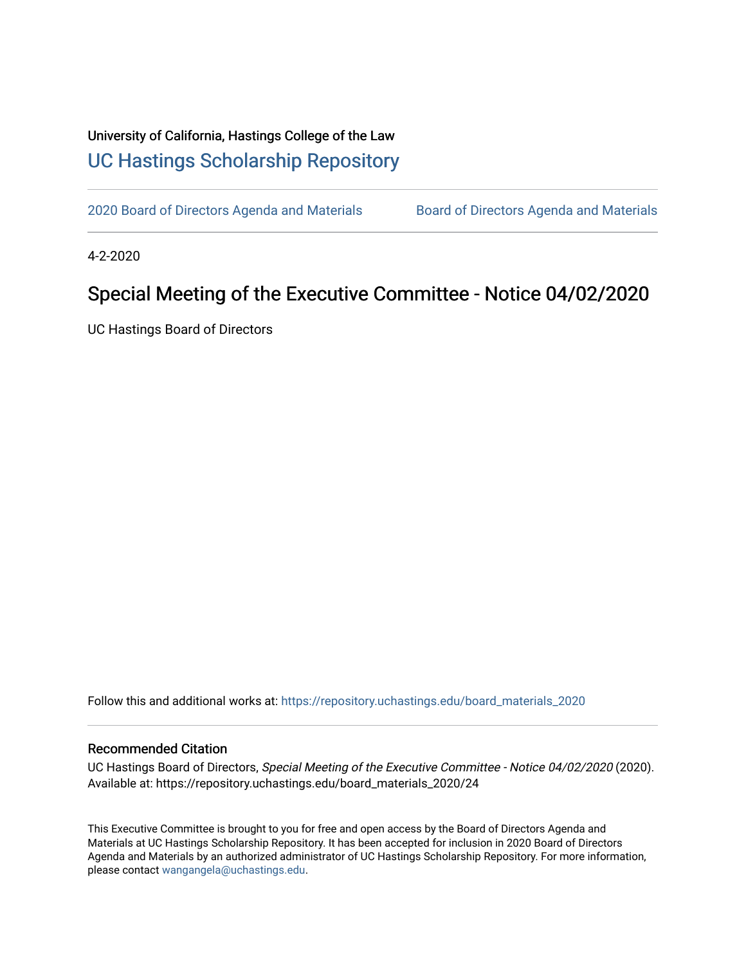## University of California, Hastings College of the Law [UC Hastings Scholarship Repository](https://repository.uchastings.edu/)

[2020 Board of Directors Agenda and Materials](https://repository.uchastings.edu/board_materials_2020) **Board of Directors Agenda and Materials** 

4-2-2020

## Special Meeting of the Executive Committee - Notice 04/02/2020

UC Hastings Board of Directors

Follow this and additional works at: [https://repository.uchastings.edu/board\\_materials\\_2020](https://repository.uchastings.edu/board_materials_2020?utm_source=repository.uchastings.edu%2Fboard_materials_2020%2F24&utm_medium=PDF&utm_campaign=PDFCoverPages) 

## Recommended Citation

UC Hastings Board of Directors, Special Meeting of the Executive Committee - Notice 04/02/2020 (2020). Available at: https://repository.uchastings.edu/board\_materials\_2020/24

This Executive Committee is brought to you for free and open access by the Board of Directors Agenda and Materials at UC Hastings Scholarship Repository. It has been accepted for inclusion in 2020 Board of Directors Agenda and Materials by an authorized administrator of UC Hastings Scholarship Repository. For more information, please contact [wangangela@uchastings.edu.](mailto:wangangela@uchastings.edu)